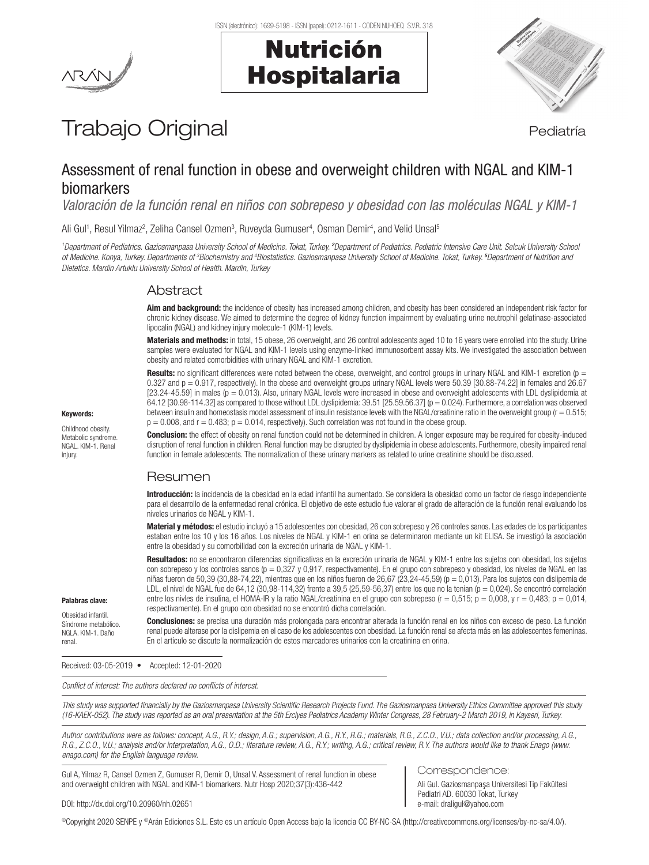



# Trabajo Original en el estatubación de la pediatría

## Assessment of renal function in obese and overweight children with NGAL and KIM-1 biomarkers

*Valoración de la función renal en niños con sobrepeso y obesidad con las moléculas NGAL y KIM-1* 

Ali Gul<sup>1</sup>, Resul Yilmaz<sup>2</sup>, Zeliha Cansel Ozmen<sup>3</sup>, Ruveyda Gumuser<sup>4</sup>, Osman Demir<sup>4</sup>, and Velid Unsal<sup>5</sup>

<sup>1</sup>Department of Pediatrics. Gaziosmanpasa University School of Medicine. Tokat, Turkey. <sup>2</sup>Department of Pediatrics. Pediatric Intensive Care Unit. Selcuk University School *of Medicine. Konya, Turkey. Departments of 3 Biochemistry and 4 Biostatistics. Gaziosmanpasa University School of Medicine. Tokat, Turkey. <sup>5</sup> Department of Nutrition and Dietetics. Mardin Artuklu University School of Health. Mardin, Turkey*

## Abstract

Aim and background: the incidence of obesity has increased among children, and obesity has been considered an independent risk factor for chronic kidney disease. We aimed to determine the degree of kidney function impairment by evaluating urine neutrophil gelatinase-associated lipocalin (NGAL) and kidney injury molecule-1 (KIM-1) levels.

Materials and methods: in total, 15 obese, 26 overweight, and 26 control adolescents aged 10 to 16 years were enrolled into the study. Urine samples were evaluated for NGAL and KIM-1 levels using enzyme-linked immunosorbent assay kits. We investigated the association between obesity and related comorbidities with urinary NGAL and KIM-1 excretion.

Results: no significant differences were noted between the obese, overweight, and control groups in urinary NGAL and KIM-1 excretion ( $p =$ 0.327 and  $p = 0.917$ , respectively). In the obese and overweight groups urinary NGAL levels were 50.39 [30.88-74.22] in females and 26.67 [23.24-45.59] in males (p = 0.013). Also, urinary NGAL levels were increased in obese and overweight adolescents with LDL dyslipidemia at 64.12 [30.98-114.32] as compared to those without LDL dyslipidemia: 39.51 [25.59.56.37] (p = 0.024). Furthermore, a correlation was observed between insulin and homeostasis model assessment of insulin resistance levels with the NGAL/creatinine ratio in the overweight group (r = 0.515;  $p = 0.008$ , and  $r = 0.483$ ;  $p = 0.014$ , respectively). Such correlation was not found in the obese group.

Conclusion: the effect of obesity on renal function could not be determined in children. A longer exposure may be required for obesity-induced disruption of renal function in children. Renal function may be disrupted by dyslipidemia in obese adolescents. Furthermore, obesity impaired renal function in female adolescents. The normalization of these urinary markers as related to urine creatinine should be discussed.

## Resumen

Introducción: la incidencia de la obesidad en la edad infantil ha aumentado. Se considera la obesidad como un factor de riesgo independiente para el desarrollo de la enfermedad renal crónica. El objetivo de este estudio fue valorar el grado de alteración de la función renal evaluando los niveles urinarios de NGAL y KIM-1.

Material y métodos: el estudio incluyó a 15 adolescentes con obesidad, 26 con sobrepeso y 26 controles sanos. Las edades de los participantes estaban entre los 10 y los 16 años. Los niveles de NGAL y KIM-1 en orina se determinaron mediante un kit ELISA. Se investigó la asociación entre la obesidad y su comorbilidad con la excreción urinaria de NGAL y KIM-1.

Resultados: no se encontraron diferencias significativas en la excreción urinaria de NGAL y KIM-1 entre los sujetos con obesidad, los sujetos con sobrepeso y los controles sanos (p = 0,327 y 0,917, respectivamente). En el grupo con sobrepeso y obesidad, los niveles de NGAL en las niñas fueron de 50,39 (30,88-74,22), mientras que en los niños fueron de 26,67 (23,24-45,59) (p = 0,013). Para los sujetos con dislipemia de LDL, el nivel de NGAL fue de 64,12 (30,98-114,32) frente a 39,5 (25,59-56,37) entre los que no la tenían (p = 0,024). Se encontró correlación entre los nivles de insulina, el HOMA-IR y la ratio NGAL/creatinina en el grupo con sobrepeso (r = 0,515; p = 0,008, y r = 0,483; p = 0,014, respectivamente). En el grupo con obesidad no se encontró dicha correlación.

Conclusiones: se precisa una duración más prolongada para encontrar alterada la función renal en los niños con exceso de peso. La función renal puede alterase por la dislipemia en el caso de los adolescentes con obesidad. La función renal se afecta más en las adolescentes femeninas. En el artículo se discute la normalización de estos marcadores urinarios con la creatinina en orina.

Received: 03-05-2019 • Accepted: 12-01-2020

*Conflict of interest: The authors declared no conflicts of interest.*

*This study was supported financially by the Gaziosmanpasa University Scientific Research Projects Fund. The Gaziosmanpasa University Ethics Committee approved this study (16-KAEK-052). The study was reported as an oral presentation at the 5th Erciyes Pediatrics Academy Winter Congress, 28 February-2 March 2019, in Kayseri, Turkey.*

*Author contributions were as follows: concept, A.G., R.Y.; design, A.G.; supervision, A.G., R.Y., R.G.; materials, R.G., Z.C.O., V.U.; data collection and/or processing, A.G., R.G., Z.C.O., V.U.; analysis and/or interpretation, A.G., O.D.; literature review, A.G., R.Y.; writing, A.G.; critical review, R.Y. The authors would like to thank Enago (www. enago.com) for the English language review.*

Gul A, Yilmaz R, Cansel Ozmen Z, Gumuser R, Demir O, Unsal V. Assessment of renal function in obese and overweight children with NGAL and KIM-1 biomarkers. Nutr Hosp 2020;37(3):436-442

#### Correspondence:

Ali Gul. Gaziosmanpaşa Universitesi Tip Fakültesi Pediatri AD. 60030 Tokat, Turkey e-mail: draligul@yahoo.com

DOI: http://dx.doi.org/10.20960/nh.02651

©Copyright 2020 SENPE y ©Arán Ediciones S.L. Este es un artículo Open Access bajo la licencia CC BY-NC-SA (http://creativecommons.org/licenses/by-nc-sa/4.0/).

## Keywords:

Childhood obesity. Metabolic syndrome. NGAL. KIM-1. Renal injury.

Palabras clave: Obesidad infantil. Síndrome metabólico. NGLA. KIM-1. Daño renal.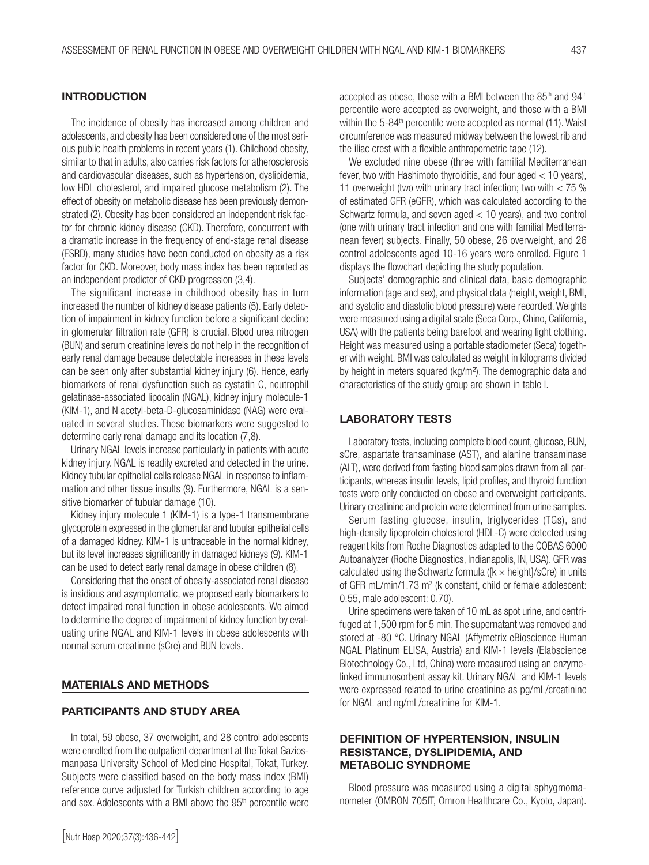#### **INTRODUCTION**

The incidence of obesity has increased among children and adolescents, and obesity has been considered one of the most serious public health problems in recent years (1). Childhood obesity, similar to that in adults, also carries risk factors for atherosclerosis and cardiovascular diseases, such as hypertension, dyslipidemia, low HDL cholesterol, and impaired glucose metabolism (2). The effect of obesity on metabolic disease has been previously demonstrated (2). Obesity has been considered an independent risk factor for chronic kidney disease (CKD). Therefore, concurrent with a dramatic increase in the frequency of end-stage renal disease (ESRD), many studies have been conducted on obesity as a risk factor for CKD. Moreover, body mass index has been reported as an independent predictor of CKD progression (3,4).

The significant increase in childhood obesity has in turn increased the number of kidney disease patients (5). Early detection of impairment in kidney function before a significant decline in glomerular filtration rate (GFR) is crucial. Blood urea nitrogen (BUN) and serum creatinine levels do not help in the recognition of early renal damage because detectable increases in these levels can be seen only after substantial kidney injury (6). Hence, early biomarkers of renal dysfunction such as cystatin C, neutrophil gelatinase-associated lipocalin (NGAL), kidney injury molecule-1 (KIM-1), and N acetyl-beta-D-glucosaminidase (NAG) were evaluated in several studies. These biomarkers were suggested to determine early renal damage and its location (7,8).

Urinary NGAL levels increase particularly in patients with acute kidney injury. NGAL is readily excreted and detected in the urine. Kidney tubular epithelial cells release NGAL in response to inflammation and other tissue insults (9). Furthermore, NGAL is a sensitive biomarker of tubular damage (10).

Kidney injury molecule 1 (KIM-1) is a type-1 transmembrane glycoprotein expressed in the glomerular and tubular epithelial cells of a damaged kidney. KIM-1 is untraceable in the normal kidney, but its level increases significantly in damaged kidneys (9). KIM-1 can be used to detect early renal damage in obese children (8).

Considering that the onset of obesity-associated renal disease is insidious and asymptomatic, we proposed early biomarkers to detect impaired renal function in obese adolescents. We aimed to determine the degree of impairment of kidney function by evaluating urine NGAL and KIM-1 levels in obese adolescents with normal serum creatinine (sCre) and BUN levels.

#### MATERIALS AND METHODS

#### PARTICIPANTS AND STUDY AREA

In total, 59 obese, 37 overweight, and 28 control adolescents were enrolled from the outpatient department at the Tokat Gaziosmanpasa University School of Medicine Hospital, Tokat, Turkey. Subjects were classified based on the body mass index (BMI) reference curve adjusted for Turkish children according to age and sex. Adolescents with a BMI above the 95<sup>th</sup> percentile were accepted as obese, those with a BMI between the 85<sup>th</sup> and 94<sup>th</sup> percentile were accepted as overweight, and those with a BMI within the 5-84<sup>th</sup> percentile were accepted as normal (11). Waist circumference was measured midway between the lowest rib and the iliac crest with a flexible anthropometric tape (12).

We excluded nine obese (three with familial Mediterranean fever, two with Hashimoto thyroiditis, and four aged < 10 years), 11 overweight (two with urinary tract infection; two with < 75 % of estimated GFR (eGFR), which was calculated according to the Schwartz formula, and seven aged < 10 years), and two control (one with urinary tract infection and one with familial Mediterranean fever) subjects. Finally, 50 obese, 26 overweight, and 26 control adolescents aged 10-16 years were enrolled. Figure 1 displays the flowchart depicting the study population.

Subjects' demographic and clinical data, basic demographic information (age and sex), and physical data (height, weight, BMI, and systolic and diastolic blood pressure) were recorded. Weights were measured using a digital scale (Seca Corp., Chino, California, USA) with the patients being barefoot and wearing light clothing. Height was measured using a portable stadiometer (Seca) together with weight. BMI was calculated as weight in kilograms divided by height in meters squared (kg/m²). The demographic data and characteristics of the study group are shown in table I.

#### LABORATORY TESTS

Laboratory tests, including complete blood count, glucose, BUN, sCre, aspartate transaminase (AST), and alanine transaminase (ALT), were derived from fasting blood samples drawn from all participants, whereas insulin levels, lipid profiles, and thyroid function tests were only conducted on obese and overweight participants. Urinary creatinine and protein were determined from urine samples.

Serum fasting glucose, insulin, triglycerides (TGs), and high-density lipoprotein cholesterol (HDL-C) were detected using reagent kits from Roche Diagnostics adapted to the COBAS 6000 Autoanalyzer (Roche Diagnostics, Indianapolis, IN, USA). GFR was calculated using the Schwartz formula ( $[k \times \text{height}]/sCre$ ) in units of GFR mL/min/1.73 m<sup>2</sup> (k constant, child or female adolescent: 0.55, male adolescent: 0.70).

Urine specimens were taken of 10 mL as spot urine, and centrifuged at 1,500 rpm for 5 min. The supernatant was removed and stored at -80 °C. Urinary NGAL (Affymetrix eBioscience Human NGAL Platinum ELISA, Austria) and KIM-1 levels (Elabscience Biotechnology Co., Ltd, China) were measured using an enzymelinked immunosorbent assay kit. Urinary NGAL and KIM-1 levels were expressed related to urine creatinine as pg/mL/creatinine for NGAL and ng/mL/creatinine for KIM-1.

#### DEFINITION OF HYPERTENSION, INSULIN RESISTANCE, DYSLIPIDEMIA, AND METABOLIC SYNDROME

Blood pressure was measured using a digital sphygmomanometer (OMRON 705IT, Omron Healthcare Co., Kyoto, Japan).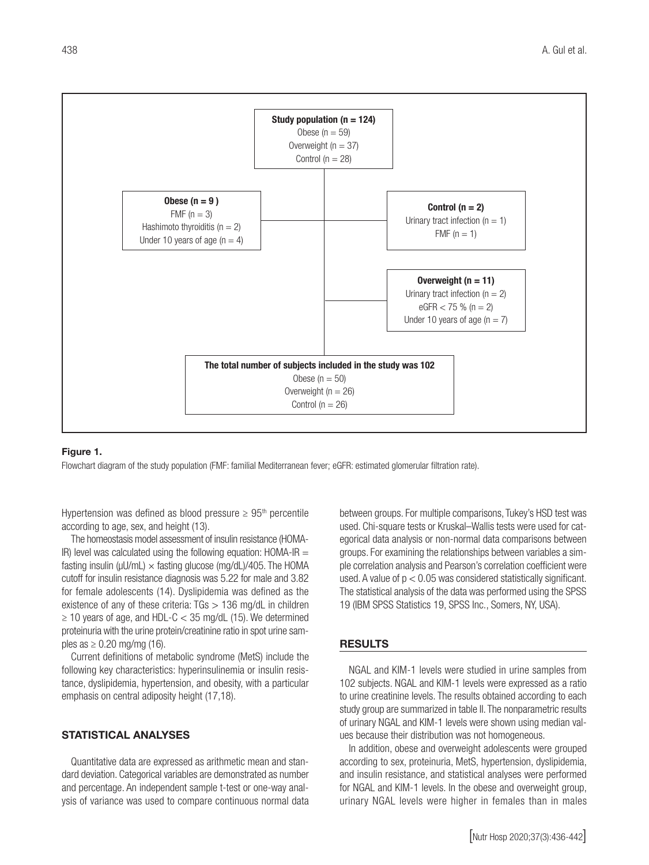

#### Figure 1.

Flowchart diagram of the study population (FMF: familial Mediterranean fever; eGFR: estimated glomerular filtration rate).

Hypertension was defined as blood pressure  $\geq 95$ <sup>th</sup> percentile according to age, sex, and height (13).

The homeostasis model assessment of insulin resistance (HOMA-IR) level was calculated using the following equation:  $HOMA-IR =$ fasting insulin ( $\mu$ U/mL)  $\times$  fasting glucose (mg/dL)/405. The HOMA cutoff for insulin resistance diagnosis was 5.22 for male and 3.82 for female adolescents (14). Dyslipidemia was defined as the existence of any of these criteria:  $TGs > 136$  mg/dL in children  $\geq$  10 years of age, and HDL-C < 35 mg/dL (15). We determined proteinuria with the urine protein/creatinine ratio in spot urine samples as  $\geq 0.20$  mg/mg (16).

Current definitions of metabolic syndrome (MetS) include the following key characteristics: hyperinsulinemia or insulin resistance, dyslipidemia, hypertension, and obesity, with a particular emphasis on central adiposity height (17,18).

### STATISTICAL ANALYSES

Quantitative data are expressed as arithmetic mean and standard deviation. Categorical variables are demonstrated as number and percentage. An independent sample t-test or one-way analysis of variance was used to compare continuous normal data

between groups. For multiple comparisons, Tukey's HSD test was used. Chi-square tests or Kruskal–Wallis tests were used for categorical data analysis or non-normal data comparisons between groups. For examining the relationships between variables a simple correlation analysis and Pearson's correlation coefficient were used. A value of  $p < 0.05$  was considered statistically significant. The statistical analysis of the data was performed using the SPSS 19 (IBM SPSS Statistics 19, SPSS Inc., Somers, NY, USA).

#### RESULTS

NGAL and KIM-1 levels were studied in urine samples from 102 subjects. NGAL and KIM-1 levels were expressed as a ratio to urine creatinine levels. The results obtained according to each study group are summarized in table II. The nonparametric results of urinary NGAL and KIM-1 levels were shown using median values because their distribution was not homogeneous.

In addition, obese and overweight adolescents were grouped according to sex, proteinuria, MetS, hypertension, dyslipidemia, and insulin resistance, and statistical analyses were performed for NGAL and KIM-1 levels. In the obese and overweight group, urinary NGAL levels were higher in females than in males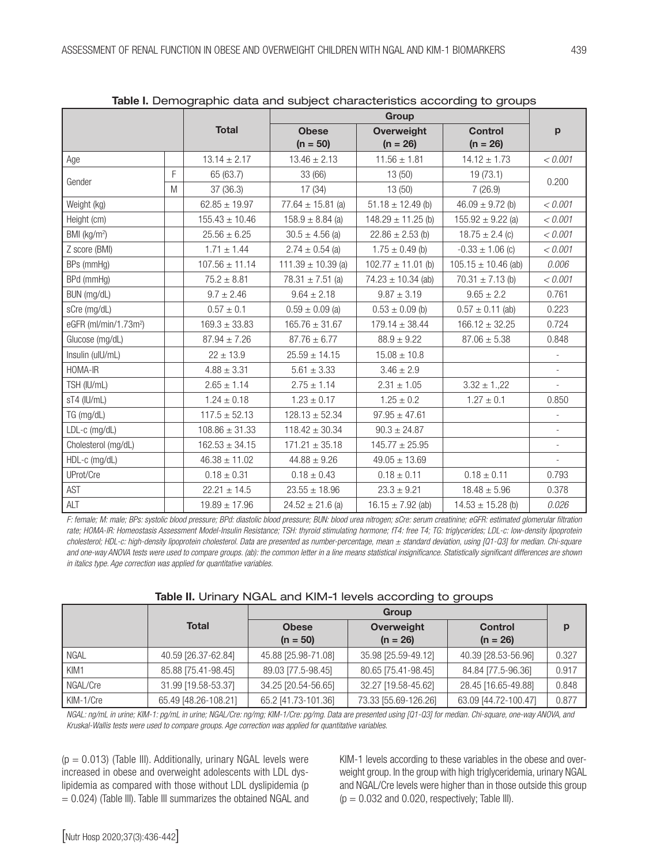|                                   |   |                    | able in Bornographilo data and oabjoot onaraotonotioo aoooraing to groapo |                                 |                              |                             |  |
|-----------------------------------|---|--------------------|---------------------------------------------------------------------------|---------------------------------|------------------------------|-----------------------------|--|
|                                   |   | <b>Total</b>       | <b>Obese</b><br>$(n = 50)$                                                | <b>Overweight</b><br>$(n = 26)$ | <b>Control</b><br>$(n = 26)$ | $\mathbf{p}$                |  |
| Age                               |   | $13.14 \pm 2.17$   | $13.46 \pm 2.13$                                                          | $11.56 \pm 1.81$                | $14.12 \pm 1.73$             | < 0.001                     |  |
| Gender                            | F | 65 (63.7)          | 33 (66)                                                                   | 13(50)                          | 19(73.1)                     | 0.200                       |  |
|                                   | M | 37 (36.3)          | 17(34)                                                                    |                                 | 7(26.9)                      |                             |  |
| Weight (kg)                       |   | $62.85 \pm 19.97$  | 77.64 $\pm$ 15.81 (a)                                                     | $51.18 \pm 12.49$ (b)           | $46.09 \pm 9.72$ (b)         | < 0.001                     |  |
| Height (cm)                       |   | $155.43 \pm 10.46$ | $158.9 \pm 8.84$ (a)                                                      | $148.29 \pm 11.25$ (b)          | $155.92 \pm 9.22$ (a)        | < 0.001                     |  |
| BMI (kg/m <sup>2</sup> )          |   | $25.56 \pm 6.25$   | $30.5 \pm 4.56$ (a)                                                       | $22.86 \pm 2.53$ (b)            | $18.75 \pm 2.4$ (c)          | < 0.001                     |  |
| Z score (BMI)                     |   | $1.71 \pm 1.44$    | $2.74 \pm 0.54$ (a)                                                       | $1.75 \pm 0.49$ (b)             | $-0.33 \pm 1.06$ (c)         | < 0.001                     |  |
| BPs (mmHg)                        |   | $107.56 \pm 11.14$ | $111.39 \pm 10.39$ (a)                                                    | $102.77 \pm 11.01$ (b)          | $105.15 \pm 10.46$ (ab)      | 0.006                       |  |
| BPd (mmHg)                        |   | $75.2 \pm 8.81$    | $78.31 \pm 7.51$ (a)                                                      | $74.23 \pm 10.34$ (ab)          | $70.31 \pm 7.13$ (b)         | < 0.001                     |  |
| BUN (mg/dL)                       |   | $9.7 \pm 2.46$     | $9.64 \pm 2.18$                                                           | $9.87 \pm 3.19$                 | $9.65 \pm 2.2$               | 0.761                       |  |
| sCre (mg/dL)                      |   | $0.57 \pm 0.1$     | $0.59 \pm 0.09$ (a)                                                       | $0.53 \pm 0.09$ (b)             | $0.57 \pm 0.11$ (ab)         | 0.223                       |  |
| eGFR (ml/min/1.73m <sup>2</sup> ) |   | $169.3 \pm 33.83$  | $165.76 \pm 31.67$                                                        | $179.14 \pm 38.44$              | $166.12 \pm 32.25$           | 0.724                       |  |
| Glucose (mg/dL)                   |   | $87.94 \pm 7.26$   | $87.76 \pm 6.77$                                                          | $88.9 \pm 9.22$                 | $87.06 \pm 5.38$             | 0.848                       |  |
| Insulin (ulU/mL)                  |   | $22 \pm 13.9$      | $25.59 \pm 14.15$                                                         | $15.08 \pm 10.8$                |                              |                             |  |
| HOMA-IR                           |   | $4.88 \pm 3.31$    | $5.61 \pm 3.33$                                                           | $3.46 \pm 2.9$                  |                              | $\overline{\phantom{a}}$    |  |
| TSH (IU/mL)                       |   | $2.65 \pm 1.14$    | $2.75 \pm 1.14$                                                           | $2.31 \pm 1.05$                 | $3.32 \pm 1.22$              | $\mathcal{L}_{\mathcal{A}}$ |  |
| sT4 (IU/mL)                       |   | $1.24 \pm 0.18$    | $1.23 \pm 0.17$                                                           | $1.25 \pm 0.2$                  | $1.27 \pm 0.1$               | 0.850                       |  |
| TG (mg/dL)                        |   | $117.5 \pm 52.13$  | $128.13 \pm 52.34$                                                        | $97.95 \pm 47.61$               |                              |                             |  |
| LDL-c (mg/dL)                     |   | $108.86 \pm 31.33$ | $118.42 \pm 30.34$                                                        | $90.3 \pm 24.87$                |                              |                             |  |
| Cholesterol (mg/dL)               |   | $162.53 \pm 34.15$ | $171.21 \pm 35.18$                                                        | $145.77 \pm 25.95$              |                              | $\overline{\phantom{a}}$    |  |
| $HDL-c$ (mg/dL)                   |   | $46.38 \pm 11.02$  | $44.88 \pm 9.26$                                                          | $49.05 \pm 13.69$               |                              |                             |  |
| UProt/Cre                         |   | $0.18 \pm 0.31$    | $0.18 \pm 0.43$                                                           | $0.18 \pm 0.11$                 | $0.18 \pm 0.11$              | 0.793                       |  |
| AST                               |   | $22.21 \pm 14.5$   | $23.55 \pm 18.96$                                                         | $23.3 \pm 9.21$                 | $18.48 \pm 5.96$             | 0.378                       |  |
| ALT                               |   | $19.89 \pm 17.96$  | $24.52 \pm 21.6$ (a)                                                      | $16.15 \pm 7.92$ (ab)           | $14.53 \pm 15.28$ (b)        | 0.026                       |  |

Table I. Demographic data and subject characteristics according to groups

*F: female; M: male; BPs: systolic blood pressure; BPd: diastolic blood pressure; BUN: blood urea nitrogen; sCre: serum creatinine; eGFR: estimated glomerular filtration*  rate; HOMA-IR: Homeostasis Assessment Model-Insulin Resistance; TSH: thyroid stimulating hormone; fT4: free T4; TG: triglycerides; LDL-c: low-density lipoprotein *cholesterol; HDL-c: high-density lipoprotein cholesterol. Data are presented as number-percentage, mean ± standard deviation, using [Q1-Q3] for median. Chi-square and one-way ANOVA tests were used to compare groups. (ab): the common letter in a line means statistical insignificance. Statistically significant differences are shown in italics type. Age correction was applied for quantitative variables.*

| Table II. Urinary NGAL and KIM-1 levels according to groups |  |  |  |  |  |
|-------------------------------------------------------------|--|--|--|--|--|
|-------------------------------------------------------------|--|--|--|--|--|

|           | <b>Total</b>         | <b>Obese</b><br>$(n = 50)$ | Overweight<br>$(n = 26)$ | <b>Control</b><br>$(n = 26)$ | р     |  |
|-----------|----------------------|----------------------------|--------------------------|------------------------------|-------|--|
| I NGAL    | 40.59 [26.37-62.84]  | 45.88 [25.98-71.08]        | 35.98 [25.59-49.12]      | 40.39 [28.53-56.96]          | 0.327 |  |
| KIM1      | 85.88 [75.41-98.45]  | 89.03 [77.5-98.45]         | 80.65 [75.41-98.45]      | 84.84 [77.5-96.36]           | 0.917 |  |
| NGAL/Cre  | 31.99 [19.58-53.37]  | 34.25 [20.54-56.65]        | 32.27 [19.58-45.62]      | 28.45 [16.65-49.88]          | 0.848 |  |
| KIM-1/Cre | 65.49 [48.26-108.21] | 65.2 [41.73-101.36]        | 73.33 [55.69-126.26]     | 63.09 [44.72-100.47]         | 0.877 |  |

*NGAL: ng/mL in urine; KIM-1: pg/mL in urine; NGAL/Cre: ng/mg; KIM-1/Cre: pg/mg. Data are presented using [Q1-Q3] for median. Chi-square, one-way ANOVA, and Kruskal-Wallis tests were used to compare groups. Age correction was applied for quantitative variables.*

 $(p = 0.013)$  (Table III). Additionally, urinary NGAL levels were increased in obese and overweight adolescents with LDL dyslipidemia as compared with those without LDL dyslipidemia (p  $= 0.024$ ) (Table III). Table III summarizes the obtained NGAL and KIM-1 levels according to these variables in the obese and overweight group. In the group with high triglyceridemia, urinary NGAL and NGAL/Cre levels were higher than in those outside this group  $(p = 0.032$  and 0.020, respectively; Table III).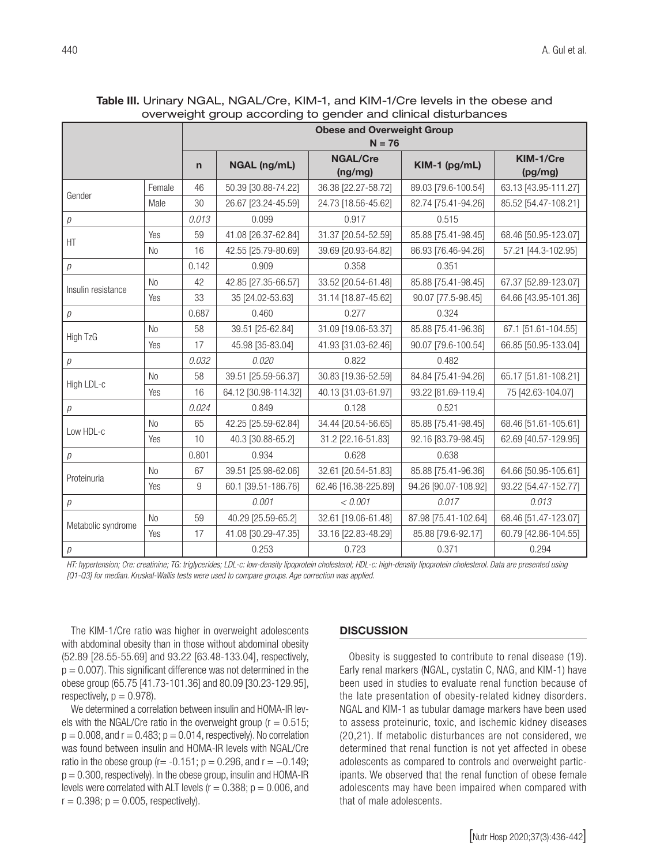|                    |                | <b>Obese and Overweight Group</b><br>$N = 76$ |                      |                            |                      |                      |  |
|--------------------|----------------|-----------------------------------------------|----------------------|----------------------------|----------------------|----------------------|--|
|                    |                | $\mathsf{n}$                                  | NGAL (ng/mL)         | <b>NGAL/Cre</b><br>(ng/mg) | KIM-1 (pg/mL)        | KIM-1/Cre<br>(pg/mg) |  |
| Gender             | Female         | 46                                            | 50.39 [30.88-74.22]  | 36.38 [22.27-58.72]        | 89.03 [79.6-100.54]  | 63.13 [43.95-111.27] |  |
|                    | Male           | 30                                            | 26.67 [23.24-45.59]  | 24.73 [18.56-45.62]        | 82.74 [75.41-94.26]  | 85.52 [54.47-108.21] |  |
| р                  |                | 0.013                                         | 0.099                | 0.917                      | 0.515                |                      |  |
| HT                 | Yes            | 59                                            | 41.08 [26.37-62.84]  | 31.37 [20.54-52.59]        | 85.88 [75.41-98.45]  | 68.46 [50.95-123.07] |  |
|                    | N <sub>0</sub> | 16                                            | 42.55 [25.79-80.69]  | 39.69 [20.93-64.82]        | 86.93 [76.46-94.26]  | 57.21 [44.3-102.95]  |  |
| $\overline{p}$     |                | 0.142                                         | 0.909                | 0.358                      | 0.351                |                      |  |
| Insulin resistance | <b>No</b>      | 42                                            | 42.85 [27.35-66.57]  | 33.52 [20.54-61.48]        | 85.88 [75.41-98.45]  | 67.37 [52.89-123.07] |  |
|                    | Yes            | 33                                            | 35 [24.02-53.63]     | 31.14 [18.87-45.62]        | 90.07 [77.5-98.45]   | 64.66 [43.95-101.36] |  |
| $\overline{p}$     |                | 0.687                                         | 0.460                | 0.277                      | 0.324                |                      |  |
|                    | <b>No</b>      | 58                                            | 39.51 [25-62.84]     | 31.09 [19.06-53.37]        | 85.88 [75.41-96.36]  | 67.1 [51.61-104.55]  |  |
| High TzG           | Yes            | 17                                            | 45.98 [35-83.04]     | 41.93 [31.03-62.46]        | 90.07 [79.6-100.54]  | 66.85 [50.95-133.04] |  |
| р                  |                | 0.032                                         | 0.020                | 0.822                      | 0.482                |                      |  |
| High LDL-c         | <b>No</b>      | 58                                            | 39.51 [25.59-56.37]  | 30.83 [19.36-52.59]        | 84.84 [75.41-94.26]  | 65.17 [51.81-108.21] |  |
|                    | Yes            | 16                                            | 64.12 [30.98-114.32] | 40.13 [31.03-61.97]        | 93.22 [81.69-119.4]  | 75 [42.63-104.07]    |  |
| р                  |                | 0.024                                         | 0.849                | 0.128                      | 0.521                |                      |  |
| Low HDL-c          | <b>No</b>      | 65                                            | 42.25 [25.59-62.84]  | 34.44 [20.54-56.65]        | 85.88 [75.41-98.45]  | 68.46 [51.61-105.61] |  |
|                    | Yes            | 10                                            | 40.3 [30.88-65.2]    | 31.2 [22.16-51.83]         | 92.16 [83.79-98.45]  | 62.69 [40.57-129.95] |  |
| $\overline{\rho}$  |                | 0.801                                         | 0.934                | 0.628                      | 0.638                |                      |  |
| Proteinuria        | <b>No</b>      | 67                                            | 39.51 [25.98-62.06]  | 32.61 [20.54-51.83]        | 85.88 [75.41-96.36]  | 64.66 [50.95-105.61] |  |
|                    | Yes            | 9                                             | 60.1 [39.51-186.76]  | 62.46 [16.38-225.89]       | 94.26 [90.07-108.92] | 93.22 [54.47-152.77] |  |
| р                  |                |                                               | 0.001                | < 0.001                    | 0.017                | 0.013                |  |
| Metabolic syndrome | <b>No</b>      | 59                                            | 40.29 [25.59-65.2]   | 32.61 [19.06-61.48]        | 87.98 [75.41-102.64] | 68.46 [51.47-123.07] |  |
|                    | Yes            | 17                                            | 41.08 [30.29-47.35]  | 33.16 [22.83-48.29]        | 85.88 [79.6-92.17]   | 60.79 [42.86-104.55] |  |
| $\rho$             |                |                                               | 0.253                | 0.723                      | 0.371                | 0.294                |  |

Table III. Urinary NGAL, NGAL/Cre, KIM-1, and KIM-1/Cre levels in the obese and overweight group according to gender and clinical disturbances

*HT: hypertension; Cre: creatinine; TG: triglycerides; LDL-c: low-density lipoprotein cholesterol; HDL-c: high-density lipoprotein cholesterol. Data are presented using [Q1-Q3] for median. Kruskal-Wallis tests were used to compare groups. Age correction was applied.*

The KIM-1/Cre ratio was higher in overweight adolescents with abdominal obesity than in those without abdominal obesity (52.89 [28.55-55.69] and 93.22 [63.48-133.04], respectively,  $p = 0.007$ . This significant difference was not determined in the obese group (65.75 [41.73-101.36] and 80.09 [30.23-129.95], respectively,  $p = 0.978$ .

We determined a correlation between insulin and HOMA-IR levels with the NGAL/Cre ratio in the overweight group ( $r = 0.515$ ;  $p = 0.008$ , and  $r = 0.483$ ;  $p = 0.014$ , respectively). No correlation was found between insulin and HOMA-IR levels with NGAL/Cre ratio in the obese group ( $r = -0.151$ ; p = 0.296, and  $r = -0.149$ ;  $p = 0.300$ , respectively). In the obese group, insulin and HOMA-IR levels were correlated with ALT levels ( $r = 0.388$ ;  $p = 0.006$ , and  $r = 0.398$ ;  $p = 0.005$ , respectively).

#### **DISCUSSION**

Obesity is suggested to contribute to renal disease (19). Early renal markers (NGAL, cystatin C, NAG, and KIM-1) have been used in studies to evaluate renal function because of the late presentation of obesity-related kidney disorders. NGAL and KIM-1 as tubular damage markers have been used to assess proteinuric, toxic, and ischemic kidney diseases (20,21). If metabolic disturbances are not considered, we determined that renal function is not yet affected in obese adolescents as compared to controls and overweight participants. We observed that the renal function of obese female adolescents may have been impaired when compared with that of male adolescents.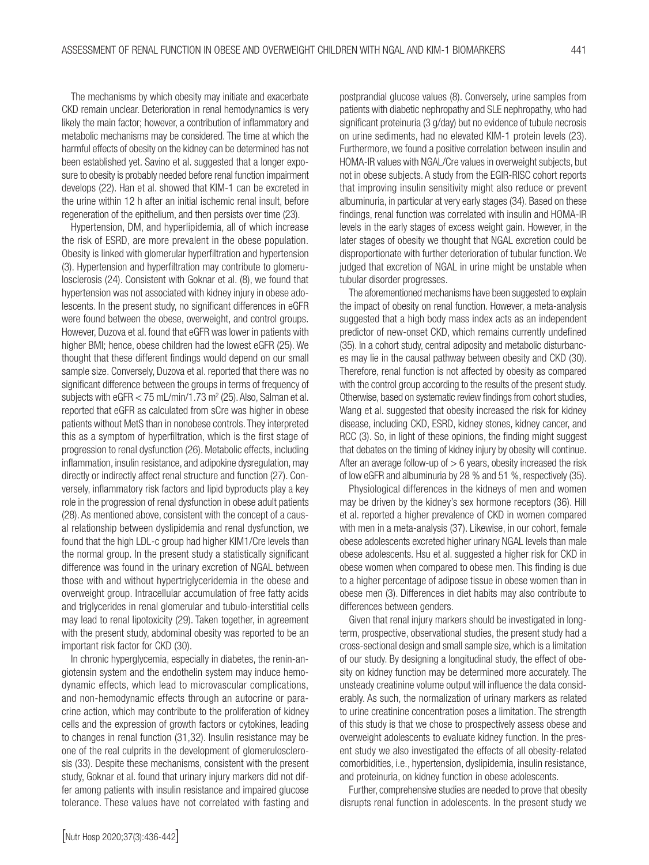The mechanisms by which obesity may initiate and exacerbate CKD remain unclear. Deterioration in renal hemodynamics is very likely the main factor; however, a contribution of inflammatory and metabolic mechanisms may be considered. The time at which the harmful effects of obesity on the kidney can be determined has not been established yet. Savino et al. suggested that a longer exposure to obesity is probably needed before renal function impairment develops (22). Han et al. showed that KIM-1 can be excreted in the urine within 12 h after an initial ischemic renal insult, before regeneration of the epithelium, and then persists over time (23).

Hypertension, DM, and hyperlipidemia, all of which increase the risk of ESRD, are more prevalent in the obese population. Obesity is linked with glomerular hyperfiltration and hypertension (3). Hypertension and hyperfiltration may contribute to glomerulosclerosis (24). Consistent with Goknar et al. (8), we found that hypertension was not associated with kidney injury in obese adolescents. In the present study, no significant differences in eGFR were found between the obese, overweight, and control groups. However, Duzova et al. found that eGFR was lower in patients with higher BMI; hence, obese children had the lowest eGFR (25). We thought that these different findings would depend on our small sample size. Conversely, Duzova et al. reported that there was no significant difference between the groups in terms of frequency of subjects with  $e$ GFR  $<$  75 mL/min/1.73 m<sup>2</sup> (25). Also, Salman et al. reported that eGFR as calculated from sCre was higher in obese patients without MetS than in nonobese controls. They interpreted this as a symptom of hyperfiltration, which is the first stage of progression to renal dysfunction (26). Metabolic effects, including inflammation, insulin resistance, and adipokine dysregulation, may directly or indirectly affect renal structure and function (27). Conversely, inflammatory risk factors and lipid byproducts play a key role in the progression of renal dysfunction in obese adult patients (28). As mentioned above, consistent with the concept of a causal relationship between dyslipidemia and renal dysfunction, we found that the high LDL-c group had higher KIM1/Cre levels than the normal group. In the present study a statistically significant difference was found in the urinary excretion of NGAL between those with and without hypertriglyceridemia in the obese and overweight group. Intracellular accumulation of free fatty acids and triglycerides in renal glomerular and tubulo-interstitial cells may lead to renal lipotoxicity (29). Taken together, in agreement with the present study, abdominal obesity was reported to be an important risk factor for CKD (30).

In chronic hyperglycemia, especially in diabetes, the renin-angiotensin system and the endothelin system may induce hemodynamic effects, which lead to microvascular complications, and non-hemodynamic effects through an autocrine or paracrine action, which may contribute to the proliferation of kidney cells and the expression of growth factors or cytokines, leading to changes in renal function (31,32). Insulin resistance may be one of the real culprits in the development of glomerulosclerosis (33). Despite these mechanisms, consistent with the present study, Goknar et al. found that urinary injury markers did not differ among patients with insulin resistance and impaired glucose tolerance. These values have not correlated with fasting and postprandial glucose values (8). Conversely, urine samples from patients with diabetic nephropathy and SLE nephropathy, who had significant proteinuria (3 g/day) but no evidence of tubule necrosis on urine sediments, had no elevated KIM-1 protein levels (23). Furthermore, we found a positive correlation between insulin and HOMA-IR values with NGAL/Cre values in overweight subjects, but not in obese subjects. A study from the EGIR-RISC cohort reports that improving insulin sensitivity might also reduce or prevent albuminuria, in particular at very early stages (34). Based on these findings, renal function was correlated with insulin and HOMA-IR levels in the early stages of excess weight gain. However, in the later stages of obesity we thought that NGAL excretion could be disproportionate with further deterioration of tubular function. We judged that excretion of NGAL in urine might be unstable when tubular disorder progresses.

The aforementioned mechanisms have been suggested to explain the impact of obesity on renal function. However, a meta-analysis suggested that a high body mass index acts as an independent predictor of new-onset CKD, which remains currently undefined (35). In a cohort study, central adiposity and metabolic disturbances may lie in the causal pathway between obesity and CKD (30). Therefore, renal function is not affected by obesity as compared with the control group according to the results of the present study. Otherwise, based on systematic review findings from cohort studies, Wang et al. suggested that obesity increased the risk for kidney disease, including CKD, ESRD, kidney stones, kidney cancer, and RCC (3). So, in light of these opinions, the finding might suggest that debates on the timing of kidney injury by obesity will continue. After an average follow-up of  $> 6$  years, obesity increased the risk of low eGFR and albuminuria by 28 % and 51 %, respectively (35).

Physiological differences in the kidneys of men and women may be driven by the kidney's sex hormone receptors (36). Hill et al. reported a higher prevalence of CKD in women compared with men in a meta-analysis (37). Likewise, in our cohort, female obese adolescents excreted higher urinary NGAL levels than male obese adolescents. Hsu et al. suggested a higher risk for CKD in obese women when compared to obese men. This finding is due to a higher percentage of adipose tissue in obese women than in obese men (3). Differences in diet habits may also contribute to differences between genders.

Given that renal injury markers should be investigated in longterm, prospective, observational studies, the present study had a cross-sectional design and small sample size, which is a limitation of our study. By designing a longitudinal study, the effect of obesity on kidney function may be determined more accurately. The unsteady creatinine volume output will influence the data considerably. As such, the normalization of urinary markers as related to urine creatinine concentration poses a limitation. The strength of this study is that we chose to prospectively assess obese and overweight adolescents to evaluate kidney function. In the present study we also investigated the effects of all obesity-related comorbidities, i.e., hypertension, dyslipidemia, insulin resistance, and proteinuria, on kidney function in obese adolescents.

Further, comprehensive studies are needed to prove that obesity disrupts renal function in adolescents. In the present study we